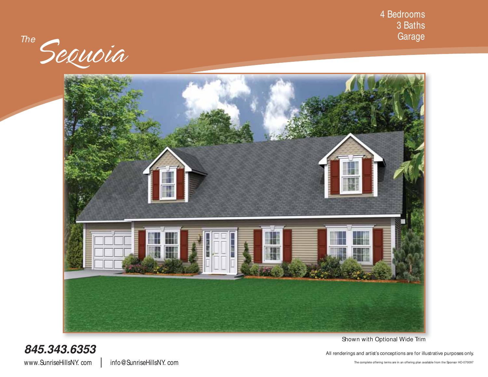4 Bedrooms 3 Baths Garage

The Sequoia



Shown with Optional Wide Trim

**845.343.6353** All renderings and artist's conceptions are for illustrative purposes only.

www.SunriseHillsNY.com | info@SunriseHillsNY.com